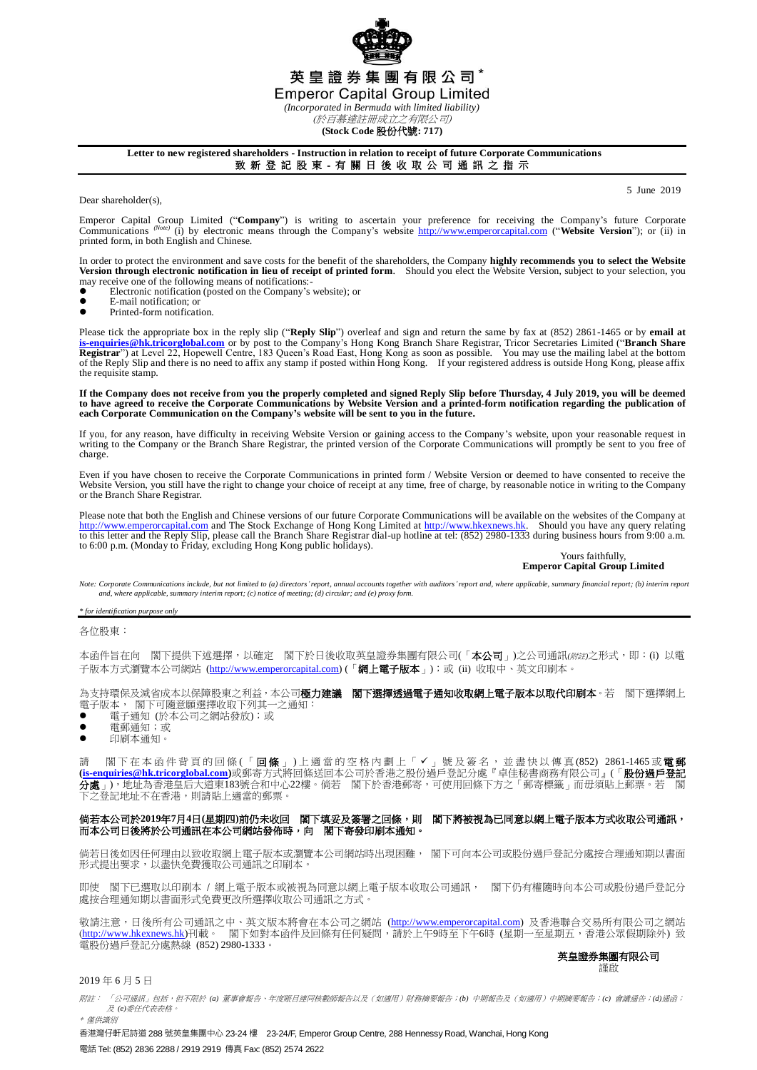

*(Incorporated in Bermuda with limited liability)*

(於百慕達註冊成立之有限公司)

**(Stock Code** 股份代號**: 717)**

# **Letter to new registered shareholders - Instruction in relation to receipt of future Corporate Communications**

致 新 登 記 股 東 - 有 關 日 後 收 取 公 司 通 訊 之 指 示

Dear shareholder(s),

5 June 2019

Emperor Capital Group Limited ("Company") is writing to ascertain your preference for receiving the Company's future Corporate Company's future Corporate Company's future Corporate Company's future Corporate Company's webs printed form, in both English and Chinese.

In order to protect the environment and save costs for the benefit of the shareholders, the Company **highly recommends you to select the Website**<br>Version through electronic notification in lieu of receipt of printed form. may receive one of the following means of notifications:<br>• Electronic notification (posted on the Company's

- $\bullet$  Electronic notification (posted on the Company's website); or
- $\bullet$  E-mail notification; or
- Printed-form notification.

Please tick the appropriate box in the reply slip ("**Reply Slip**") overleaf and sign and return the same by fax at (852) 2861-1465 or by **email at [is-enquiries@hk.tricorglobal.com](mailto:is-enquiries@hk.tricorglobal.com)** or by post to the Company's Hong Kong Branch Share Registrar, Tricor Secretaries Limited ("**Branch Share**  Registrar") at Level 22, Hopewell Centre, 183 Queen's Road East, Hong Kong as soon as possible. You may use the mailing label at the bottom<br>of the Reply Slip and there is no need to affix any stamp if posted within Hong Ko the requisite stamp.

**If the Company does not receive from you the properly completed and signed Reply Slip before Thursday, 4 July 2019, you will be deemed to have agreed to receive the Corporate Communications by Website Version and a printed-form notification regarding the publication of each Corporate Communication on the Company's website will be sent to you in the future.**

If you, for any reason, have difficulty in receiving Website Version or gaining access to the Company's website, upon your reasonable request in writing to the Company or the Branch Share Registrar, the printed version of the Corporate Communications will promptly be sent to you free of charge

Even if you have chosen to receive the Corporate Communications in printed form / Website Version or deemed to have consented to receive the Website Version, you still have the right to change your choice of receipt at any time, free of charge, by reasonable notice in writing to the Company or the Branch Share Registrar.

Please note that both the English and Chinese versions of our future Corporate Communications will be available on the websites of the Company at [http://www.emperorcapital.com](http://www.emperorcapital.com/) and The Stock Exchange of Hong Kong Limited at [http://www.hkexnews.hk.](http://www.hkexnews.hk/) Should you have any query relating<br>to this letter and the Reply Slip, please call the Branch Share Registrar dial-up hotl

### Yours faithfully, **Emperor Capital Group Limited**

Note: Corporate Communications include, but not limited to (a) directors' report, annual accounts together with auditors' report and, where applicable, summary financial report; (b) interim report<br>and, where applicable, su

*\* for identification purpose only*

各位股東:

本函件旨在向 閣下提供下述選擇,以確定 閣下於日後收取英皇證券集團有限公司(「本公司」)之公司通訊(*附註*)之形式,即:(i) 以電 ・ー:ロー・・・・・・・・・・・・<br>子版本方式瀏覽本公司網站 (<u>http://www.emperorcapital.com</u>) (「**網上電子版本**」);或 (ii) 收取中、英文印刷本。

為支持環保及減省成本以保障股東之利益,本公司**極力建議 閣下選擇透過電子通知收取網上電子版本以取代印刷本**。若 閣下選擇網上 電子版本, 閣下可隨意願選擇收取下列其一之通知:

- 電子通知 (於本公司之網站發放);或
- 電郵通知;或
- 印刷本通知。

請 閣下在本 函 件 背 頁 的 回 條 (「 **回 條** 」) 上 適 當 的 空 格 内 劃 上 「 ✔ 」 號 及 簽 名 , 並 盡 快 以 傳 真 (852) 2861-1465 或 **電 郵 [\(is-enquiries@hk.tricorglobal.com\)](mailto:is-enquiries@hk.tricorglobal.com)**或郵寄方式將回條送回本公司於香港之股份過戶登記分處『卓佳秘書商務有限公司』(「股份過戶登記 分處」),地址為香港皇后大道東183號合和中心22樓。倘若 閣下於香港郵寄,可使用回條下方之「郵寄標籤」而毋須貼上郵票。若 閣 下之登記地址不在香港,則請貼上適當的郵票。

## 倘若本公司於**2019**年**7**月**4**日**(**星期四**)**前仍未收回 閣下填妥及簽署之回條,則 閣下將被視為已同意以網上電子版本方式收取公司通訊, 而本公司日後將於公司通訊在本公司網站發佈時,向 閣下寄發印刷本通知。

倘若日後如因任何理由以致收取網上電子版本或瀏覽本公司網站時出現困難, 閣下可向本公司或股份過戶登記分處按合理通知期以書面 形式提出要求,以盡快免費獲取公司通訊之印刷本。

即使 閣下已選取以印刷本 / 網上電子版本或被視為同意以網上電子版本收取公司通訊, 閣下仍有權隨時向本公司或股份過戶登記分 處按合理通知期以書面形式免費更改所選擇收取公司通訊之方式。

敬請注意,日後所有公司通訊之中、英文版本將會在本公司之網站 (<u>http://www.emperorcapital.com</u>) 及香港聯合交易所有限公司之網站 (<u>http://www.hkexnews.hk</u>)刊載。 閣下如對本函件及回條有任何疑問,請於上午9時至下午6時(星期一至星期五,香港公眾假期除外) 致 電股份過戶登記分處熱線 (852) 2980-1333。

### 英皇證券集團有限公司 謹啟

## 2019 年 6 月 5 日

附註: 「公司通訊」包括,但不限於 *(a)* 董事會報告、年度賬目連同核數師報告以及(如適用)財務摘要報告;*(b)* 中期報告及(如適用)中期摘要報告;*(c)* 會議通告;*(d)*通函; 及 *(e)*委任代表表格。 \* 僅供識別

香港灣仔軒尼詩道 288 號英皇集團中心 23-24 樓 23-24/F, Emperor Group Centre, 288 Hennessy Road, Wanchai, Hong Kong 電話 Tel: (852) 2836 2288 / 2919 2919 傳真 Fax: (852) 2574 2622